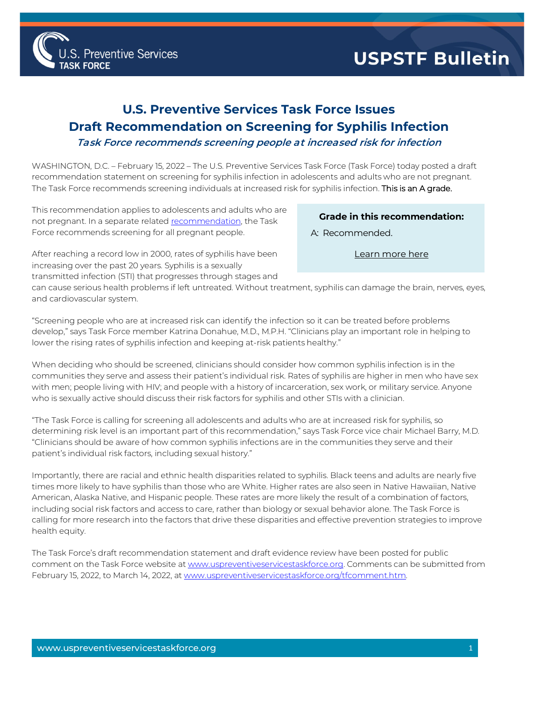

## **USPSTF Bulletin**

## **U.S. Preventive Services Task Force Issues Draft Recommendation on Screening for Syphilis Infection Task Force recommends screening people at increased risk for infection**

WASHINGTON, D.C. – February 15, 2022 – The U.S. Preventive Services Task Force (Task Force) today posted a draft recommendation statement on screening for syphilis infection in adolescents and adults who are not pregnant. The Task Force recommends screening individuals at increased risk for syphilis infection. **This is an A grade.** 

This recommendation applies to adolescents and adults who are not pregnant. In a separate related [recommendation,](https://www.uspreventiveservicestaskforce.org/uspstf/recommendation/syphilis-infection-in-pregnancy-screening) the Task Force recommends screening for all pregnant people.

**Grade in this recommendation:** A: Recommended.

[Learn more here](http://www.uspreventiveservicestaskforce.org/Page/Name/grade-definitions)

After reaching a record low in 2000, rates of syphilis have been increasing over the past 20 years. Syphilis is a sexually transmitted infection (STI) that progresses through stages and

can cause serious health problems if left untreated. Without treatment, syphilis can damage the brain, nerves, eyes, and cardiovascular system.

"Screening people who are at increased risk can identify the infection so it can be treated before problems develop," says Task Force member Katrina Donahue, M.D., M.P.H. "Clinicians play an important role in helping to lower the rising rates of syphilis infection and keeping at-risk patients healthy."

When deciding who should be screened, clinicians should consider how common syphilis infection is in the communities they serve and assess their patient's individual risk. Rates of syphilis are higher in men who have sex with men; people living with HIV; and people with a history of incarceration, sex work, or military service. Anyone who is sexually active should discuss their risk factors for syphilis and other STIs with a clinician.

"The Task Force is calling for screening all adolescents and adults who are at increased risk for syphilis, so determining risk level is an important part of this recommendation," says Task Force vice chair Michael Barry, M.D. "Clinicians should be aware of how common syphilis infections are in the communities they serve and their patient's individual risk factors, including sexual history."

Importantly, there are racial and ethnic health disparities related to syphilis. Black teens and adults are nearly five times more likely to have syphilis than those who are White. Higher rates are also seen in Native Hawaiian, Native American, Alaska Native, and Hispanic people. These rates are more likely the result of a combination of factors, including social risk factors and access to care, rather than biology or sexual behavior alone. The Task Force is calling for more research into the factors that drive these disparities and effective prevention strategies to improve health equity.

The Task Force's draft recommendation statement and draft evidence review have been posted for public comment on the Task Force website a[t www.uspreventiveservicestaskforce.org.](http://www.uspreventiveservicestaskforce.org/) Comments can be submitted from February 15, 2022, to March 14, 2022, at www.uspreventiveservicestaskforce.org/tfcomment.htm.